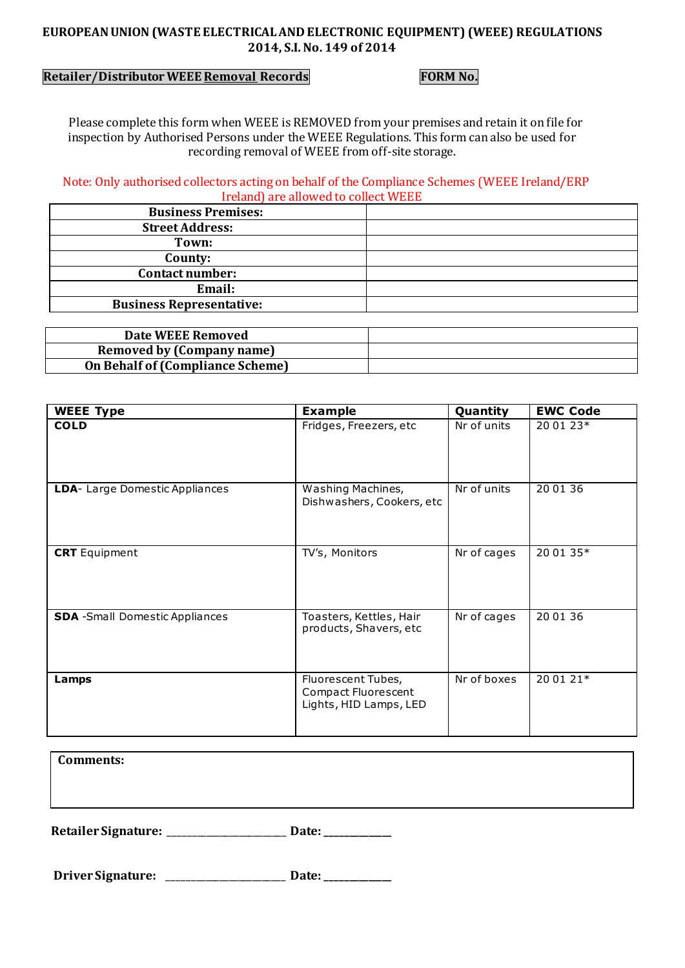## **EUROPEAN UNION (WASTE ELECTRICAL AND ELECTRONIC EQUIPMENT) (WEEE) REGULATIONS 2014, S.I. No. 149 of 2014**

# **Retailer/Distributor WEEE Removal Records FORM No.**

 Please complete this form when WEEE is REMOVED from your premises and retain it on file for inspection by Authorised Persons under the WEEE Regulations. This form can also be used for recording removal of WEEE from off-site storage.

 Note: Only authorised collectors acting on behalf of the Compliance Schemes (WEEE Ireland/ERP Ireland) are allowed to collect WEEE

| <b>Business Premises:</b>       |  |
|---------------------------------|--|
| <b>Street Address:</b>          |  |
| Town:                           |  |
| County:                         |  |
| <b>Contact number:</b>          |  |
| Email:                          |  |
| <b>Business Representative:</b> |  |
|                                 |  |

| Date WEEE Removed                       |  |
|-----------------------------------------|--|
| <b>Removed by (Company name)</b>        |  |
| <b>On Behalf of (Compliance Scheme)</b> |  |

| <b>WEEE Type</b>                       | <b>Example</b>                                                             | Quantity    | <b>EWC Code</b> |
|----------------------------------------|----------------------------------------------------------------------------|-------------|-----------------|
| <b>COLD</b>                            | Fridges, Freezers, etc                                                     | Nr of units | 20 01 23*       |
| LDA- Large Domestic Appliances         | Washing Machines,<br>Dishwashers, Cookers, etc                             | Nr of units | 20 01 36        |
| <b>CRT</b> Equipment                   | TV's, Monitors                                                             | Nr of cages | 20 01 35*       |
| <b>SDA</b> - Small Domestic Appliances | Toasters, Kettles, Hair<br>products, Shavers, etc                          | Nr of cages | 20 01 36        |
| Lamps                                  | Fluorescent Tubes,<br><b>Compact Fluorescent</b><br>Lights, HID Lamps, LED | Nr of boxes | 20 01 21*       |

| Comments: |  |
|-----------|--|
|-----------|--|

**Retailer Signature:** \_\_\_\_\_\_\_\_\_\_\_\_\_\_\_\_\_\_\_\_\_\_\_\_\_ **Date: \_\_\_\_\_\_\_\_\_\_\_\_\_\_**

 **Driver Signature:** \_\_\_\_\_\_\_\_\_\_\_\_\_\_\_\_\_\_\_\_\_\_\_\_\_ **Date: \_\_\_\_\_\_\_\_\_\_\_\_\_\_**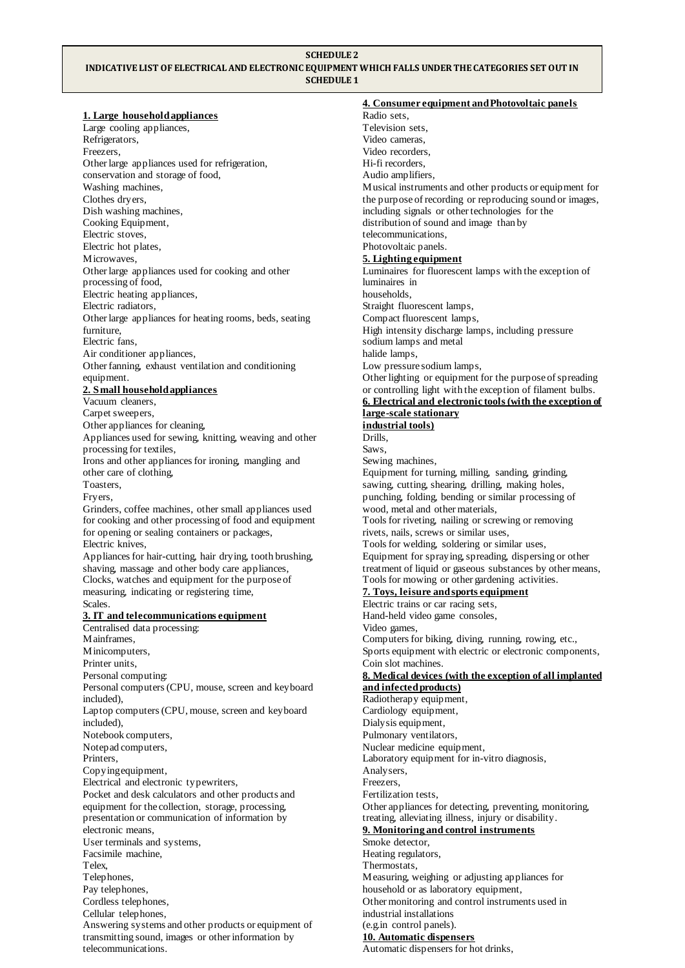#### **SCHEDULE 2**

## **INDICATIVE LIST OF ELECTRICAL AND ELECTRONIC EQUIPMENT WHICH FALLS UNDER THE CATEGORIES SET OUT IN SCHEDULE 1**

**1. Large household appliances** Large cooling appliances, Refrigerators, Freezers, Other large appliances used for refrigeration, conservation and storage of food, Washing machines, Clothes dryers, Dish washing machines, Cooking Equipment, Electric stoves, Electric hot plates, Microwaves, Other large appliances used for cooking and other processing of food, Electric heating appliances, Electric radiators, Other large appliances for heating rooms, beds, seating furniture, Electric fans, Air conditioner appliances, Other fanning, exhaust ventilation and conditioning equipment. **2. Small household appliances** Vacuum cleaners, Carpet sweepers, Other appliances for cleaning, Appliances used for sewing, knitting, weaving and other processing for textiles, Irons and other appliances for ironing, mangling and other care of clothing, Toasters, Fryers, Grinders, coffee machines, other small appliances used for cooking and other processing of food and equipment for opening or sealing containers or packages, Electric knives, Appliances for hair-cutting, hair drying, tooth brushing, shaving, massage and other body care appliances, Clocks, watches and equipment for the purpose of measuring, indicating or registering time, Scales. **3. IT and telecommunications equipment** Centralised data processing: Mainframes, Minicomputers, Printer units, Personal computing: Personal computers (CPU, mouse, screen and keyboard included), Laptop computers (CPU, mouse, screen and keyboard included), Notebook computers, Notepad computers, Printers, Copying equipment, Electrical and electronic typewriters, Pocket and desk calculators and other products and equipment for the collection, storage, processing, presentation or communication of information by electronic means, User terminals and systems, Facsimile machine, Telex, Telephones, Pay telephones,

Cordless telephones, Cellular telephones,

telecommunications.

Answering systems and other products or equipment of transmitting sound, images or other information by

**4. Consumer equipment and Photovoltaic panels** Radio sets, Television sets, Video cameras, Video recorders, Hi-fi recorders, Audio amplifiers, Musical instruments and other products or equipment for the purpose of recording or reproducing sound or images, including signals or other technologies for the distribution of sound and image than by telecommunications, Photovoltaic panels. **5. Lighting equipment** Luminaires for fluorescent lamps with the exception of luminaires in households, Straight fluorescent lamps, Compact fluorescent lamps, High intensity discharge lamps, including pressure sodium lamps and metal halide lamps, Low pressure sodium lamps, Other lighting or equipment for the purpose of spreading or controlling light with the exception of filament bulbs. **6. Electrical and electronic tools (with the exception of large-scale stationary industrial tools)** Drills, Saws, Sewing machines, Equipment for turning, milling, sanding, grinding, sawing, cutting, shearing, drilling, making holes, punching, folding, bending or similar processing of wood, metal and other materials, Tools for riveting, nailing or screwing or removing rivets, nails, screws or similar uses, Tools for welding, soldering or similar uses, Equipment for spraying, spreading, dispersing or other treatment of liquid or gaseous substances by other means, Tools for mowing or other gardening activities. **7. Toys, leisure and sports equipment** Electric trains or car racing sets, Hand-held video game consoles, Video games, Computers for biking, diving, running, rowing, etc., Sports equipment with electric or electronic components, Coin slot machines. **8. Medical devices (with the exception of all implanted and infected products)** Radiotherapy equipment, Cardiology equipment, Dialysis equipment, Pulmonary ventilators, Nuclear medicine equipment, Laboratory equipment for in-vitro diagnosis, Analysers, Freezers, Fertilization tests, Other appliances for detecting, preventing, monitoring, treating, alleviating illness, injury or disability. **9. Monitoring and control instruments** Smoke detector, Heating regulators, Thermostats, Measuring, weighing or adjusting appliances for household or as laboratory equipment, Other monitoring and control instruments used in industrial installations (e.g.in control panels).

### **10. Automatic dispensers**

Automatic dispensers for hot drinks,